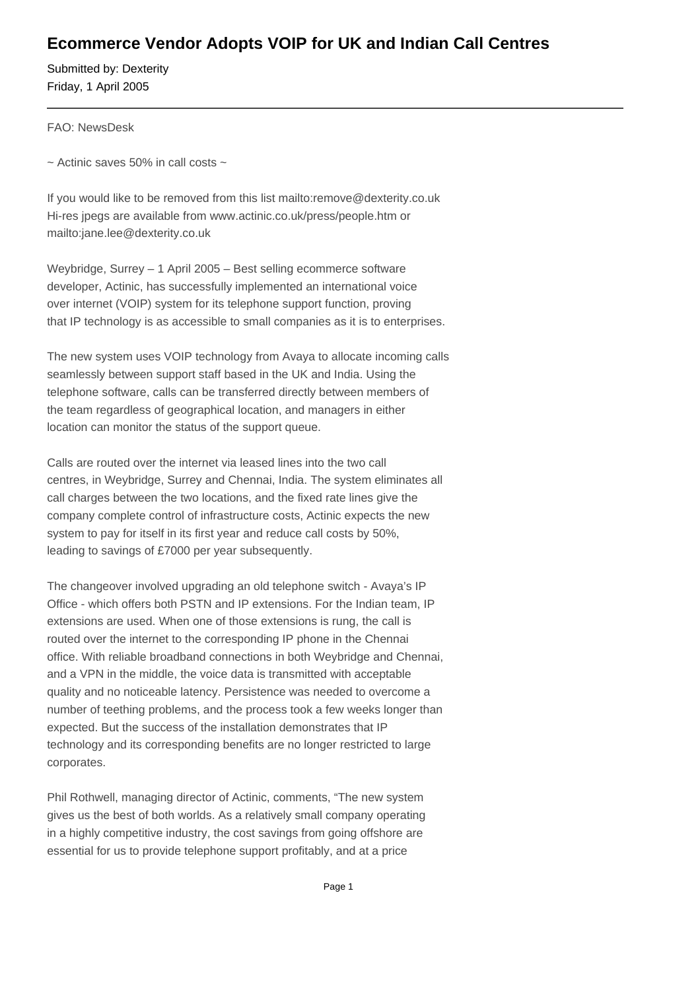## **Ecommerce Vendor Adopts VOIP for UK and Indian Call Centres**

Submitted by: Dexterity Friday, 1 April 2005

FAO: NewsDesk

 $\sim$  Actinic saves 50% in call costs  $\sim$ 

If you would like to be removed from this list mailto:remove@dexterity.co.uk Hi-res jpegs are available from www.actinic.co.uk/press/people.htm or mailto:jane.lee@dexterity.co.uk

Weybridge, Surrey – 1 April 2005 – Best selling ecommerce software developer, Actinic, has successfully implemented an international voice over internet (VOIP) system for its telephone support function, proving that IP technology is as accessible to small companies as it is to enterprises.

The new system uses VOIP technology from Avaya to allocate incoming calls seamlessly between support staff based in the UK and India. Using the telephone software, calls can be transferred directly between members of the team regardless of geographical location, and managers in either location can monitor the status of the support queue.

Calls are routed over the internet via leased lines into the two call centres, in Weybridge, Surrey and Chennai, India. The system eliminates all call charges between the two locations, and the fixed rate lines give the company complete control of infrastructure costs, Actinic expects the new system to pay for itself in its first year and reduce call costs by 50%, leading to savings of £7000 per year subsequently.

The changeover involved upgrading an old telephone switch - Avaya's IP Office - which offers both PSTN and IP extensions. For the Indian team, IP extensions are used. When one of those extensions is rung, the call is routed over the internet to the corresponding IP phone in the Chennai office. With reliable broadband connections in both Weybridge and Chennai, and a VPN in the middle, the voice data is transmitted with acceptable quality and no noticeable latency. Persistence was needed to overcome a number of teething problems, and the process took a few weeks longer than expected. But the success of the installation demonstrates that IP technology and its corresponding benefits are no longer restricted to large corporates.

Phil Rothwell, managing director of Actinic, comments, "The new system gives us the best of both worlds. As a relatively small company operating in a highly competitive industry, the cost savings from going offshore are essential for us to provide telephone support profitably, and at a price